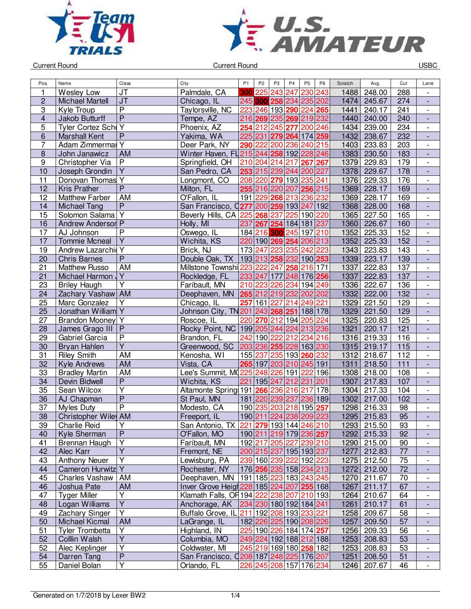



Current Round USBC

| Pos.                    | Name                     | Class                   | City                                      | P <sub>1</sub> | P <sub>2</sub>  | P <sub>3</sub> | P <sub>4</sub> | P <sub>5</sub>                                 | P <sub>6</sub> | Scratch | Avg.        | Cut        | Lane                     |
|-------------------------|--------------------------|-------------------------|-------------------------------------------|----------------|-----------------|----------------|----------------|------------------------------------------------|----------------|---------|-------------|------------|--------------------------|
| 1                       | Wesley Low               | JT                      | Palmdale, CA                              |                | <b>300 225</b>  | 243            | 247            | 230                                            | 243            | 1488    | 248.00      | 288        |                          |
| $\overline{c}$          | <b>Michael Martell</b>   | J <sub>T</sub>          | Chicago, IL                               |                |                 |                |                | 245 300 258 234 235 202                        |                | 1474    | 245.67      | 274        | $\overline{\phantom{a}}$ |
| 3                       | Kyle Troup               | $\overline{P}$          | Taylorsville, NC                          |                | 223 246 193 290 |                |                | 224 265                                        |                | 1441    | 240.17      | 241        | $\overline{\phantom{a}}$ |
| $\overline{\mathbf{4}}$ | Jakob Butturff           | $\overline{P}$          | Tempe, AZ                                 |                |                 |                |                | 216 269 235 269 219 232                        |                | 1440    | 240.00      | 240        | $\blacksquare$           |
| 5                       | Tyler Cortez Sche Y      |                         | Phoenix, AZ                               |                | 254 212 245     |                |                | 277 200 246                                    |                | 1434    | 239.00      | 234        | $\overline{\phantom{a}}$ |
| 6                       | <b>Marshall Kent</b>     | P                       | Yakima, WA                                |                |                 |                |                | 225 231 279 264 174 259                        |                | 1432    | 238.67      | 232        | ÷,                       |
| 7                       | Adam Zimmermal Y         |                         | Deer Park, NY                             |                | 290 222         |                |                | 200 236 240 215                                |                | 1403    | 233.83      | 203        | $\overline{\phantom{a}}$ |
| $\boldsymbol{8}$        | John Janawicz            | AM                      | Winter Haven, FL 215 244 258 192 228 246  |                |                 |                |                |                                                |                | 1383    | 230.50      | 183        | $\frac{1}{2}$            |
| $\boldsymbol{9}$        | Christopher Via          | $\overline{P}$          | Springfield, OH                           |                |                 |                |                | 210 204 214 217 267 267                        |                | 1379    | 229.83      | 179        | $\overline{\phantom{a}}$ |
| 10                      | Joseph Grondin           | $\overline{Y}$          | San Pedro, CA                             |                | 253 215 239 244 |                |                | 200 227                                        |                | 1378    | 229.67      | 178        | $\overline{\phantom{a}}$ |
| 11                      | Donovan Thomas Y         |                         | Longmont, CO                              |                | 208 220 279 193 |                |                | 235 241                                        |                | 1376    | 229.33      | 176        | $\overline{\phantom{a}}$ |
| 12                      | <b>Kris Prather</b>      | $\overline{P}$          | Milton, FL                                |                |                 |                |                | 255 216 220 207 256 215                        |                | 1369    | 228.17      | 169        |                          |
| 12                      | <b>Matthew Farber</b>    | AM                      | O'Fallon, IL                              |                | 191 229         | 268            | 213            | 236 232                                        |                | 1369    | 228.17      | 169        | $\overline{\phantom{a}}$ |
| 14                      |                          | $\overline{P}$          | San Francisco, 0277 200 259 193 247       |                |                 |                |                |                                                |                |         |             |            |                          |
|                         | <b>Michael Tang</b>      |                         |                                           |                |                 |                |                |                                                | 192            | 1368    | 228.00      | 168<br>165 | $\blacksquare$           |
| 15                      | Solomon Salama Y         |                         | Beverly Hills, CA 225 268                 |                |                 | 237            | 225            | 190 220                                        |                | 1365    | 227.50      |            | $\overline{\phantom{a}}$ |
| 16                      | <b>Andrew Anderson P</b> |                         | Holly, MI                                 | 237            |                 |                |                | 267 254 184 181 237                            |                | 1360    | 226.67      | 160        | $\Box$                   |
| 17                      | AJ Johnson               | $\overline{P}$          | Oswego, IL                                |                | 184 216         |                |                | 300 245 197 210                                |                | 1352    | 225.33      | 152        | $\blacksquare$           |
| 17                      | <b>Tommie Mcneal</b>     | $\overline{Y}$          | Wichita, KS                               |                |                 |                |                | 220 190 269 254 206 213                        |                | 1352    | 225.33      | 152        | ÷,                       |
| 19                      | Andrew Lazarchic Y       |                         | Brick, NJ                                 |                | 173 247         |                |                | 223 235 242 223                                |                | 1343    | 223.83      | 143        | $\blacksquare$           |
| 20                      | <b>Chris Barnes</b>      | $\mathsf{P}$            | Double Oak, TX                            |                |                 |                |                | 193 213 258 232 190 253                        |                | 1339    | 223.17      | 139        | $\overline{\phantom{a}}$ |
| 21                      | <b>Matthew Russo</b>     | AM                      | Millstone Townshi 223 222 247             |                |                 |                |                | 258 216 171                                    |                | 1337    | 222.83      | 137        |                          |
| 21                      | Michael Harmon           | Y                       | Rockledge, FL                             |                |                 |                |                | 233 247 177 248 176 256                        |                | 1337    | 222.83      | 137        | $\overline{\phantom{a}}$ |
| 23                      | <b>Briley Haugh</b>      | $\overline{Y}$          | Faribault, MN                             |                | 210 223         | 226            | 234            | 194 249                                        |                | 1336    | 222.67      | 136        | $\overline{\phantom{a}}$ |
| 24                      | Zachary Vashaw AM        |                         | Deephaven, MN                             |                |                 |                |                | 265 212 219 232 202 202                        |                | 1332    | 222.00      | 132        | $\blacksquare$           |
| 25                      | Marc Gonzalez            | Y                       | Chicago, IL                               | 257            | 161 227         |                | 214            | 249                                            | 221            | 1329    | 221.50      | 129        | $\overline{\phantom{a}}$ |
| 25                      | Jonathan William Y       |                         | Johnson City, TN 201 243 268 251 188 178  |                |                 |                |                |                                                |                | 1329    | 221.50      | 129        |                          |
| 27                      | Brandon Mooney Y         |                         | Roscoe, IL                                |                |                 |                |                | 220 270 212 194 205 224                        |                | 1325    | 220.83      | 125        | $\blacksquare$           |
| 28                      | James Grago III          | P                       | Rocky Point, NC 199 205 244 224 213 236   |                |                 |                |                |                                                |                | 1321    | 220.17      | 121        | $\frac{1}{2}$            |
| 29                      | Gabriel Garcia           | $\overline{P}$          | Brandon, FL                               | 242            | 190 222         |                |                | 212 234 216                                    |                | 1316    | 219.33      | 116        | $\overline{\phantom{a}}$ |
| 30                      | Bryan Hahlen             | $\overline{Y}$          | Greenwood, SC                             |                |                 |                |                | 203236255228163230                             |                | 1315    | 219.17      | 115        | $\overline{\phantom{a}}$ |
| 31                      | <b>Riley Smith</b>       | AM                      | Kenosha, WI                               |                | 155 237         |                | 235 193        | 260                                            | 232            | 1312    | 218.67      | 112        |                          |
| 32                      | <b>Kyle Andrews</b>      | <b>AM</b>               | Vista, CA                                 |                | 265 197         |                |                | 203 210 245 191                                |                | 1311    | 218.50      | $111$      | $\overline{\phantom{a}}$ |
| 33                      | <b>Bradley Martin</b>    | <b>AM</b>               | Lee's Summit, MQ225 248                   |                |                 | 226            | 191            | 222                                            | 196            | 1308    | 218.00      | 108        | $\overline{\phantom{a}}$ |
| 34                      | Devin Bidwell            | $\overline{P}$          | Wichita, KS                               | 221            | 195             | 247            | 212 231        |                                                | 201            | 1307    | 217.83      | 107        | $\blacksquare$           |
| 35                      | Sean Wilcox              | Y                       | Altamonte Spring 191 266 236 216          |                |                 |                |                | 217                                            | 178            | 1304    | 217.33      | 104        | $\overline{\phantom{a}}$ |
| 36                      | AJ Chapman               | $\overline{P}$          | St Paul, MN                               |                |                 |                |                | 181 220 239 237 236 189                        |                | 1302    | 217.00      | 102        | $\Box$                   |
| 37                      | <b>Myles Duty</b>        | $\overline{\mathsf{P}}$ | Modesto, CA                               |                | 190 235         |                |                | 203 218 195 257                                |                | 1298    | 216.33      | 98         | $\overline{\phantom{a}}$ |
| 38                      | Christopher Wiley AM     |                         | Freeport, IL                              |                |                 |                |                | 190 211 224 238 209 223                        |                | 1295    | 215.83      | 95         |                          |
| 39                      | Charlie Reid             | Y                       | San Antonio, TX 221 279 193 144 246 210   |                |                 |                |                |                                                |                |         | 1293 215.50 | 93         | $\overline{\phantom{a}}$ |
| 40                      | Kyle Sherman             | P                       | O'Fallon, MO                              |                |                 |                |                | 190 211 219 179 236 257                        |                | 1292    | 215.33      | 92         | ٠                        |
| 41                      | Brennan Haugh            | Υ                       | Faribault, MN                             |                |                 |                |                | 192 217 205 227 239 210                        |                | 1290    | 215.00      | 90         | $\overline{\phantom{a}}$ |
| 42                      | Alec Karr                | $\overline{Y}$          | Fremont, NE                               |                |                 |                |                | 200 215 237 195 193 237                        |                | 1277    | 212.83      | 77         |                          |
| 43                      | <b>Anthony Neuer</b>     | $\overline{Y}$          | Lewisburg, PA                             |                |                 |                |                | 239 160 239 222 192 223                        |                | 1275    | 212.50      | 75         | $\overline{\phantom{a}}$ |
| 44                      | Cameron Hurwitz Y        |                         | Rochester, NY                             |                |                 |                |                | 176 256 235 158 234 213                        |                | 1272    | 212.00      | 72         | $\overline{\phantom{a}}$ |
| 45                      | Charles Vashaw           | AM                      | Deephaven, MN                             |                |                 |                |                | 191 185 223 183 243 245                        |                | 1270    | 211.67      | 70         |                          |
| 46                      | Joshua Pate              | AM                      | Inver Grove Heigh 228 185 224 207 255 168 |                |                 |                |                |                                                |                | 1267    | 211.17      | 67         |                          |
| 47                      | <b>Tyger Miller</b>      | $\overline{Y}$          | Klamath Falls, OF 194 222 238 207 210 193 |                |                 |                |                |                                                |                | 1264    | 210.67      | 64         | $\overline{\phantom{a}}$ |
| 48                      | Logan Williams           | $\overline{Y}$          | Anchorage, AK                             |                |                 |                |                | 234 230 180 192 184 241                        |                | 1261    | 210.17      | 61         | $\overline{\phantom{a}}$ |
| 49                      | Zachary Singer           | Y                       | Buffalo Grove, IL                         | 211            |                 |                |                | 192 208 193 233 221                            |                | 1258    | 209.67      | 58         | $\overline{\phantom{a}}$ |
| 50                      | Michael Kicmal           | AM                      | LaGrange, IL                              |                |                 |                |                | 182 226 225 190 208 226                        |                | 1257    | 209.50      | 57         | $\overline{\phantom{a}}$ |
| 51                      | Tyler Trombetta          | Υ                       | Highland, IN                              |                |                 |                |                | 225 190  <mark>226</mark>  184 174  <b>257</b> |                | 1256    | 209.33      | 56         | $\overline{\phantom{a}}$ |
| 52                      | Colllin Walsh            | $\overline{Y}$          | Columbia, MO                              |                |                 |                |                | 249 224 192 188 212 188                        |                | 1253    | 208.83      | 53         |                          |
| 52                      | Alec Keplinger           | $\overline{Y}$          | Coldwater, MI                             |                |                 |                |                | 245 219 169 180 258 182                        |                | 1253    | 208.83      | 53         | $\overline{\phantom{a}}$ |
| 54                      | Darren Tang              | $\overline{\mathsf{P}}$ | San Francisco, 0208 187 248 225 176 207   |                |                 |                |                |                                                |                | 1251    | 208.50      | 51         | $\overline{\phantom{a}}$ |
| 55                      | Daniel Bolan             | $\overline{Y}$          | Orlando, FL                               |                |                 |                |                | 226 245 208 157 176 234                        |                | 1246    | 207.67      | 46         | $\overline{\phantom{a}}$ |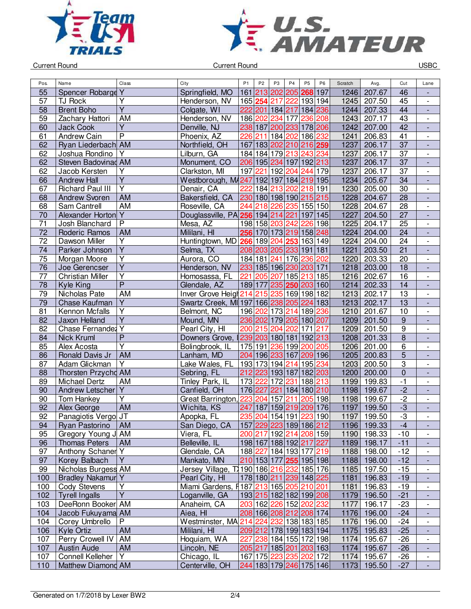



Current Round USBC

| Pos.            | Name                  | Class                   | City                                       | P <sub>1</sub> | P <sub>2</sub>          | P <sub>3</sub> | P <sub>4</sub>      | P <sub>5</sub>   | P <sub>6</sub> | Scratch | Avg.        | Cut                   | Lane                         |
|-----------------|-----------------------|-------------------------|--------------------------------------------|----------------|-------------------------|----------------|---------------------|------------------|----------------|---------|-------------|-----------------------|------------------------------|
| 55              | Spencer Robarge Y     |                         | Springfield, MO                            |                | 161 213 202             |                | 205                 | 268              | 197            | 1246    | 207.67      | 46                    |                              |
| 57              | TJ Rock               | Y                       | Henderson, NV                              |                | 165 254                 | 217            |                     | 222 193 194      |                | 1245    | 207.50      | 45                    |                              |
| 58              | <b>Brent Boho</b>     | $\overline{Y}$          |                                            |                |                         |                |                     |                  |                | 1244    | 207.33      | 44                    | $\overline{\phantom{0}}$     |
|                 |                       |                         | Colgate, WI                                |                | 222 201 184 217 184 236 |                |                     |                  |                |         |             |                       | $\qquad \qquad \blacksquare$ |
| 59              | Zachary Hattori       | AM                      | Henderson, NV                              |                | 186 202                 | 234            | 177                 | 236 208          |                | 1243    | 207.17      | 43<br>$\overline{42}$ | $\overline{\phantom{0}}$     |
| 60              | <b>Jack Cook</b>      | $\overline{Y}$          | Denville, NJ                               |                | 238 187                 |                | 200 233 178 206     |                  |                | 1242    | 207.00      |                       | $\blacksquare$               |
| 61              | Andrew Cain           | $\overline{P}$          | Phoenix, AZ                                | 226 211        |                         |                | 184 202 186 232     |                  |                | 1241    | 206.83      | 41                    | $\overline{\phantom{a}}$     |
| 62              | Ryan Liederbach AM    |                         | Northfield, OH                             |                | 167 183 202 210 216 259 |                |                     |                  |                | 1237    | 206.17      | $\overline{37}$       | $\blacksquare$               |
| 62              | Joshua Rondino        | Y                       | Lilburn, GA                                |                | 184 184 179 213 243 234 |                |                     |                  |                | 1237    | 206.17      | $\overline{37}$       | $\overline{\phantom{a}}$     |
| 62              | Steven Badovinad AM   |                         | Monument, CO                               |                | 206 195 234 197 192 213 |                |                     |                  |                | 1237    | 206.17      | 37                    | $\overline{a}$               |
| 62              | Jacob Kersten         | Υ                       | Clarkston, MI                              | 197            | 221                     |                | 192 204             | $\sqrt{244}$ 179 |                | 1237    | 206.17      | 37                    | $\overline{\phantom{0}}$     |
| 66              | <b>Andrew Hall</b>    | Υ                       | Westborough, M4247 192 197 184 219 195     |                |                         |                |                     |                  |                | 1234    | 205.67      | 34                    | $\qquad \qquad \blacksquare$ |
| 67              | Richard Paul III      | $\overline{Y}$          | Denair, CA                                 | 222            | 184                     | 213            |                     | 202 218 191      |                | 1230    | 205.00      | 30                    | $\overline{\phantom{0}}$     |
| 68              | <b>Andrew Svoren</b>  | AM                      | Bakersfield, CA                            |                | 230 180 198 190 215 215 |                |                     |                  |                | 1228    | 204.67      | $\overline{28}$       | $\overline{\phantom{a}}$     |
| 68              | Sam Cantrell          | <b>AM</b>               | Roseville, CA                              | 244            | 218 226                 |                |                     | 235 155 150      |                | 1228    | 204.67      | 28                    | $\overline{\phantom{0}}$     |
| 70              | Alexander Horton      | $\overline{Y}$          | Douglassville, PA 256 194 214              |                |                         |                | 221                 | 197 145          |                | 1227    | 204.50      | $\overline{27}$       | $\overline{\phantom{a}}$     |
| 71              | Josh Blanchard        | $\overline{P}$          | Mesa, AZ                                   |                | 198 158 203             |                | 242                 | 226 198          |                | 1225    | 204.17      | 25                    | $\overline{\phantom{0}}$     |
| 72              | Roderic Ramos         | <b>AM</b>               | Mililani, HI                               |                | 256 170 173 219 158 248 |                |                     |                  |                | 1224    | 204.00      | 24                    | $\frac{1}{2}$                |
| $\overline{72}$ | Dawson Miller         | $\overline{Y}$          | Huntingtown, MD 266 189 204 253 163 149    |                |                         |                |                     |                  |                | 1224    | 204.00      | $\overline{24}$       | $\blacksquare$               |
| $\overline{74}$ | Parker Johnson        | $\overline{Y}$          | Selma, TX                                  |                | 208 203 205 233 191 181 |                |                     |                  |                | 1221    | 203.50      | 21                    | $\frac{1}{2}$                |
| 75              | Morgan Moore          | $\overline{Y}$          | Aurora, CO                                 |                | 184 181 241 176 236 202 |                |                     |                  |                | 1220    | 203.33      | 20                    | $\overline{\phantom{0}}$     |
| 76              | Joe Gerencser         | $\overline{\mathsf{Y}}$ | Henderson, NV                              |                | 233 185 196 230 203 171 |                |                     |                  |                | 1218    | 203.00      | 18                    | $\overline{\phantom{a}}$     |
| 77              | Christian Miller      | $\overline{Y}$          | Homosassa, FL                              | 221            |                         |                | 205 207 185 213 185 |                  |                | 1216    | 202.67      | 16                    | $\frac{1}{2}$                |
| 78              | <b>Kyle King</b>      | $\overline{P}$          | Glendale, AZ                               |                | 189 177 235 250 203 160 |                |                     |                  |                | 1214    | 202.33      | 14                    | $\overline{\phantom{a}}$     |
| 79              | Nicholas Pate         | <b>AM</b>               | Inver Grove Heigh 214 215 235 169 198 182  |                |                         |                |                     |                  |                | 1213    | 202.17      | $\overline{13}$       | $\overline{\phantom{0}}$     |
| 79              | Chase Kaufman         | $\overline{Y}$          | Swartz Creek, MI 197 166 238 205 224 183   |                |                         |                |                     |                  |                | 1213    | 202.17      | 13                    | $\frac{1}{2}$                |
| 81              | Kennon Mcfalls        | $\overline{Y}$          | Belmont, NC                                |                | 196 202 173 214 189 236 |                |                     |                  |                | 1210    | 201.67      | 10                    | $\overline{\phantom{0}}$     |
| 82              | Jaxon Helland         | $\overline{Y}$          | Mound, MN                                  |                | 236 202 179 205 180 207 |                |                     |                  |                | 1209    | 201.50      | $\boldsymbol{9}$      | $\overline{a}$               |
| $\overline{82}$ | Chase Fernandez Y     |                         | Pearl City, HI                             |                | 200 215 204 202 171 217 |                |                     |                  |                | 1209    | 201.50      | $\overline{9}$        | $\overline{\phantom{a}}$     |
| 84              | Nick Kruml            | $\overline{P}$          | Downers Grove,                             |                | 239 203 180 181 192 213 |                |                     |                  |                | 1208    | 201.33      | $\overline{8}$        | $\overline{\phantom{a}}$     |
| 85              | Alex Acosta           | $\overline{\mathsf{Y}}$ | Bolingbrook, IL                            |                | 175 191                 |                | 236 199 200 205     |                  |                | 1206    | 201.00      | $\overline{6}$        | $\overline{\phantom{0}}$     |
| 86              | Ronald Davis Jr       | <b>AM</b>               | Lanham, MD                                 |                | 204 196 233 167         |                |                     | 209 196          |                | 1205    | 200.83      | $\overline{5}$        | $\qquad \qquad \blacksquare$ |
| 87              | Adam Glickman         | Y                       | Lake Wales, FL                             |                | 193 173 194 214         |                |                     | 195 234          |                | 1203    | 200.50      | $\overline{3}$        | $\overline{a}$               |
| 88              | Thorsten Przychd AM   |                         | Sebring, FL                                |                | 212 223 193 187 182 203 |                |                     |                  |                | 1200    | 200.00      | $\overline{0}$        | $\overline{a}$               |
| 89              | Michael Dertz         | AM                      | Tinley Park, IL                            | 173 222        |                         | 172            | 231                 | 188 213          |                | 1199    | 199.83      | $-1$                  | $\overline{\phantom{0}}$     |
| 90              | Andrew Letscher       | Υ                       | Canfield, OH                               |                | 176 227                 | 221            | 184                 | 180 210          |                | 1198    | 199.67      | $-2$                  | $\frac{1}{2}$                |
| 90              | <b>Tom Hankey</b>     | $\overline{\mathsf{Y}}$ | Great Barrington,                          |                | 223 204                 | 157            | 211                 | 205 198          |                | 1198    | 199.67      | $-2$                  | $\overline{\phantom{0}}$     |
| 92              | Alex George           | <b>AM</b>               | Wichita, KS                                | 247            | 187                     |                | 159 219 209 176     |                  |                | 1197    | 199.50      | $\overline{-3}$       | $\blacksquare$               |
| 92              | Panagiotis Vergo JT   |                         | Apopka, FL                                 |                | 235 204 154 191         |                |                     | 223 190          |                | 1197    | 199.50      | $-3$                  |                              |
| 94              | Ryan Pastorino        | <b>AM</b>               | San Diego, CA                              |                | 157 229 223 189 186 212 |                |                     |                  |                |         | 1196 199.33 | $-4$                  |                              |
| 95              | Gregory Young J AM    |                         | Viera, FL                                  |                | 200 217 192 214 208 159 |                |                     |                  |                |         | 1190 198.33 | $-10$                 | $\overline{\phantom{0}}$     |
| 96              | <b>Thomas Peters</b>  | AM                      | Belleville, IL                             |                | 198 167 188 192 217 227 |                |                     |                  |                |         | 1189 198.17 | $-11$                 | $\overline{\phantom{a}}$     |
| 97              | Anthony Schaner Y     |                         | Glendale, CA                               |                | 188 227 184 193 177 219 |                |                     |                  |                |         | 1188 198.00 | $-12$                 | $\overline{\phantom{0}}$     |
| 97              | Korey Balbach         | Y                       | Mankato, MN                                |                | 210 153 177 255 195 198 |                |                     |                  |                |         | 1188 198.00 | $-12$                 |                              |
| 99              | Nicholas Burgess AM   |                         | Jersey Village, T 190 186 216 232 185 176  |                |                         |                |                     |                  |                |         | 1185 197.50 | $-15$                 | $\overline{\phantom{0}}$     |
| 100             | Bradley Nakamur Y     |                         | Pearl City, HI                             |                | 178 180 211 239 148 225 |                |                     |                  |                |         | 1181 196.83 | $-19$                 | $\qquad \qquad \blacksquare$ |
| 100             | <b>Cody Stevens</b>   | Υ                       | Miami Gardens, $f 187 213 165 205 210 201$ |                |                         |                |                     |                  |                | 1181    | 196.83      | $-19$                 | $\overline{\phantom{0}}$     |
| 102             | <b>Tyrell Ingalls</b> | $\overline{Y}$          | Loganville, GA                             |                | 193 215 182 182 199 208 |                |                     |                  |                |         | 1179 196.50 | $-21$                 | $\overline{\phantom{a}}$     |
| 103             | DeeRonn Booker AM     |                         | Anaheim, CA                                |                | 203 162 226 152 202 232 |                |                     |                  |                | 1177    | 196.17      | $-23$                 | $\blacksquare$               |
| 104             | Jacob Fukuyama AM     |                         | Aiea, HI                                   |                | 208 166 208 212 208 174 |                |                     |                  |                |         | 1176 196.00 | $-24$                 | ÷,                           |
| 104             | Corey Umbrello        | P                       | Westminster, MA                            |                | 214 224 232 138 183 185 |                |                     |                  |                |         | 1176 196.00 | $-24$                 | $\overline{\phantom{0}}$     |
| 106             | Kyle Ortiz            | <b>AM</b>               | Mililani, HI                               |                | 209 212 178 199 183 194 |                |                     |                  |                |         | 1175 195.83 | $-25$                 | $\overline{\phantom{a}}$     |
| 107             | Perry Crowell IV      | AM                      | Hoquiam, WA                                |                | 227 238 184 155 172 198 |                |                     |                  |                |         | 1174 195.67 | $-26$                 | $\overline{\phantom{0}}$     |
| 107             | <b>Austin Aude</b>    | AM                      | Lincoln, NE                                |                | 205 217 185 201 203 163 |                |                     |                  |                |         | 1174 195.67 | $-26$                 | $\qquad \qquad \blacksquare$ |
| 107             | Connell Kelleher      | Y                       | Chicago, IL                                |                | 167 175 223 235 202 172 |                |                     |                  |                |         | 1174 195.67 | $-26$                 | $\overline{\phantom{a}}$     |
| 110             | Matthew Diamond AM    |                         | Centerville, OH                            |                | 244 183 179 246 175 146 |                |                     |                  |                | 1173    | 195.50      | $-27$                 |                              |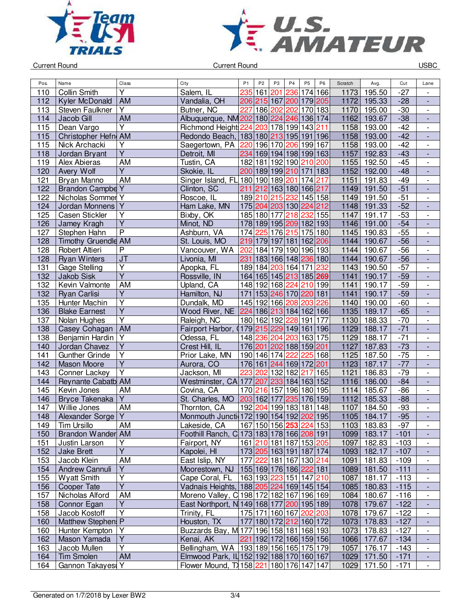



Current Round USBC

| Pos.       | Name                         | <b>Class</b>            | City                                                      | P <sub>1</sub> | P <sub>2</sub>                                     | P <sub>3</sub> | P <sub>4</sub>      | P <sub>5</sub> | P <sub>6</sub> | Scratch | Avg.        | Cut              | Lane                                                 |
|------------|------------------------------|-------------------------|-----------------------------------------------------------|----------------|----------------------------------------------------|----------------|---------------------|----------------|----------------|---------|-------------|------------------|------------------------------------------------------|
| 110        | <b>Collin Smith</b>          | Y                       | Salem, IL                                                 | 235            | 161                                                | 201            | 236                 | 174 166        |                | 1173    | 195.50      | $-27$            |                                                      |
| 112        | Kyler McDonald               | AM                      | Vandalia, OH                                              |                | 206 215 167 200 179 205                            |                |                     |                |                | 1172    | 195.33      | $-28$            | $\overline{\phantom{a}}$                             |
| 113        | Steven Faulkner              | Y                       | Butner, NC                                                | 227            | 186 202                                            |                | 202 170 183         |                |                | 1170    | 195.00      | $-30$            | $\overline{\phantom{0}}$                             |
| 114        | Jacob Gill                   | <b>AM</b>               | Albuquerque, NM 202 180 224 246 136 174                   |                |                                                    |                |                     |                |                | 1162    | 193.67      | $-38$            | $\overline{\phantom{a}}$                             |
| 115        | Dean Vargo                   | $\overline{\mathsf{Y}}$ | Richmond Height 224 203 178 199 143                       |                |                                                    |                |                     |                | 211            | 1158    | 193.00      | $-42$            | $\overline{\phantom{a}}$                             |
| 115        | Christopher Hefn AM          |                         | Redondo Beach, 183 180 213 195 191 196                    |                |                                                    |                |                     |                |                | 1158    | 193.00      | $-42$            | $\blacksquare$                                       |
| 115        | Nick Archacki                | $\overline{Y}$          | Saegertown, PA                                            | 220            | 196 170                                            |                | 206 199 167         |                |                | 1158    | 193.00      | $-42$            | $\blacksquare$                                       |
| 118        | Jordan Bryant                | $\overline{\mathsf{Y}}$ | Detroit, MI                                               |                | 234 169 194 198 199 163                            |                |                     |                |                | 1157    | 192.83      | $-43$            | ÷,                                                   |
| 119        | <b>Alex Abieras</b>          | <b>AM</b>               | Tustin, CA                                                |                | 182 181 192 190 210 200                            |                |                     |                |                | 1155    | 192.50      | $-45$            | $\overline{\phantom{0}}$                             |
| 120        | Avery Wolf                   | $\overline{Y}$          | Skokie, IL                                                |                | 200 189 199 210 171 183                            |                |                     |                |                | 1152    | 192.00      | $-48$            | $\overline{\phantom{a}}$                             |
| 121        | Bryan Manno                  | AM                      | Singer Island, FL 180 190 189 201                         |                |                                                    |                |                     | 174 217        |                | 1151    | 191.83      | $-49$            |                                                      |
| 122        | <b>Brandon Campbe Y</b>      |                         | Clinton, SC                                               |                | 211 212 163 180 166 217                            |                |                     |                |                | 1149    | 191.50      | $-51$            | $\overline{a}$                                       |
| 122        | Nicholas Sommer <sub>Y</sub> |                         | Roscoe, IL                                                |                | 189 210 215                                        |                | 232 145 158         |                |                | 1149    | 191.50      | $-51$            | $\overline{\phantom{a}}$                             |
| 124        | Jordan Monnens               | $\overline{Y}$          | Ham Lake, MN                                              |                | 175 204 203 130                                    |                |                     |                | 224 212        | 1148    | 191.33      | $-52$            | $\overline{a}$                                       |
| 125        | Casen Stickler               | $\overline{Y}$          | Bixby, OK                                                 |                | 185 180                                            | 177            | 218                 | 232 155        |                | 1147    | 191.17      | $-53$            | $\overline{\phantom{0}}$                             |
| 126        | Jamey Kragh                  | $\overline{\mathsf{Y}}$ | Minot, ND                                                 |                | 178 189 195 209 182 193                            |                |                     |                |                | 1146    | 191.00      | $-54$            | $\overline{a}$                                       |
| 127        | Stephen Hahn                 | $\overline{P}$          | Ashburn, VA                                               |                | 174 225 176 215 175 180                            |                |                     |                |                | 1145    | 190.83      | $-55$            | $\overline{\phantom{a}}$                             |
| 128        | <b>Timothy Gruendle AM</b>   |                         | St. Louis, MO                                             |                | 219 179 197 181                                    |                |                     | 162 206        |                | 1144    | 190.67      | $-56$            | $\blacksquare$                                       |
| 128        | Robert Altieri               | P                       | Vancouver, WA                                             | 202            |                                                    |                | 184 179 190 196 193 |                |                | 1144    | 190.67      | $-56$            | $\overline{\phantom{0}}$                             |
| 128        | <b>Ryan Winters</b>          | J <sub>T</sub>          | Livonia, MI                                               |                | 231 183 166 148 236 180                            |                |                     |                |                | 1144    | 190.67      | $-56$            | $\overline{\phantom{a}}$                             |
| 131        | <b>Gage Stelling</b>         | $\overline{Y}$          | Apopka, FL                                                |                | 189 184 203 164 171                                |                |                     |                | 232            | 1143    | 190.50      | $-57$            | $\frac{1}{2}$                                        |
| 132        | <b>Jakob Sisk</b>            | $\overline{Y}$          | Rossville, IN                                             |                | 164 165 145 213 185 269                            |                |                     |                |                | 1141    | 190.17      | $-59$            |                                                      |
| 132        | Kevin Valmonte               | <b>AM</b>               | Upland, CA                                                |                | 148 192 168 224 210 199                            |                |                     |                |                | 1141    | 190.17      | $-59$            | $\overline{\phantom{0}}$                             |
| 132        | <b>Ryan Carlisi</b>          | $\overline{\mathsf{Y}}$ | Hamilton, NJ                                              |                | 171 153 246 170 220 181                            |                |                     |                |                | 1141    | 190.17      | $-59$            | $\overline{a}$                                       |
| 135        | Hunter Machin                | $\overline{Y}$          | Dundalk, MD                                               |                | 145 192 166 208 203                                |                |                     |                | 226            | 1140    | 190.00      | $-60$            | $\overline{\phantom{a}}$                             |
| 136        | <b>Blake Earnest</b>         | $\overline{Y}$          | Wood River, NE   224   186   213   184   162   166        |                |                                                    |                |                     |                |                | 1135    | 189.17      | $-65$            | $\Box$                                               |
| 137        | Nolan Hughes                 | $\overline{\mathsf{Y}}$ | Raleigh, NC                                               |                | 180 162 192 228 191 177                            |                |                     |                |                | 1130    | 188.33      | $-70$            | $\overline{\phantom{a}}$                             |
| 138        | Casey Cohagan                | AM                      | Fairport Harbor,<br>0                                     |                | 179 215 229 149 161 196                            |                |                     |                |                | 1129    | 188.17      | $-71$            | $\blacksquare$                                       |
| 138        | Benjamin Hardin Y            |                         | Odessa, FL                                                |                | 148 236                                            | 204            | 203 163 175         |                |                | 1129    | 188.17      | $-71$            | $\overline{\phantom{0}}$                             |
| 140        | Jordan Chavez                | $\overline{Y}$          | Crest Hill, IL                                            |                | 176 201 202 188 159 201                            |                |                     |                |                | 1127    | 187.83      | $-73$            | $\frac{1}{2}$                                        |
| 141        | <b>Gunther Grinde</b>        | $\overline{\mathsf{Y}}$ | Prior Lake, MN                                            |                | 190 146 174                                        |                | 222                 |                | 225 168        | 1125    | 187.50      | $-75$            | $\frac{1}{2}$                                        |
| 142        | <b>Mason Moore</b>           | $\overline{Y}$          | Aurora, CO                                                |                | 176 161 244                                        |                | 169 172 201         |                |                | 1123    | 187.17      | $-77$            |                                                      |
| 143        | Conner Lackey                | $\overline{\mathsf{Y}}$ | Jackson, MI                                               | 223            | 202                                                |                | 132 182             | 217            | 165            | 1121    | 186.83      | $-79$            | $\frac{1}{2}$                                        |
| 144        | Reynante Cabatb AM           |                         | Westminster, CA 177                                       |                | 207                                                | 233            | 184 163 152         |                |                | 1116    | 186.00      | $-84$            | $\frac{1}{2}$                                        |
| 145        | Kevin Jones                  | AM                      | Covina, CA                                                |                | 170 216                                            |                | 157 196 180 195     |                |                | 1114    | 185.67      | $-86$            | $\overline{\phantom{a}}$                             |
| 146        | Bryce Takenaka               | $\overline{Y}$          | St. Charles, MO                                           |                | 203 162 177                                        |                |                     | 235 176 159    |                | 1112    | 185.33      | $-88$            | $\Box$                                               |
| 147        | Willie Jones                 | AM                      | Thornton, CA                                              | 192            | 204                                                |                | 199 183 181         |                | 148            | 1107    | 184.50      | $-93$            | $\overline{\phantom{0}}$                             |
| 148        | Alexander Sorge Y            |                         | Monmouth Juncti 172 190 154 192 202 195                   |                |                                                    |                |                     |                |                | 1105    | 184.17      | $-95$            | $\overline{a}$                                       |
| 149        | Tim Ursillo                  | AM                      |                                                           |                | 167 150 156 253 224 153                            |                |                     |                |                |         | 1103 183.83 | $-97$            |                                                      |
|            | Brandon Wander AM            |                         | Lakeside, CA<br>Foothill Ranch, C 173 183 178 166 208 191 |                |                                                    |                |                     |                |                |         | 1099 183.17 | $-101$           | $\overline{\phantom{a}}$                             |
| 150<br>151 | Justin Larson                | Υ                       | Fairport, NY                                              |                | 161 210 181 187 153 205                            |                |                     |                |                | 1097    | 182.83      |                  | $\overline{\phantom{a}}$<br>$\overline{\phantom{0}}$ |
| 152        | <b>Jake Brett</b>            | $\overline{\mathsf{Y}}$ | Kapolei, HI                                               |                |                                                    |                |                     |                |                |         | 1093 182.17 | $-103$<br>$-107$ |                                                      |
|            |                              | AM                      | East Islip, NY                                            |                | 173 205 163 191 187 174                            |                |                     |                |                |         |             |                  |                                                      |
| 153        | Jacob Klein                  | Υ                       |                                                           |                | 177 222 181 167 130 214<br>155 169 176 186 222 181 |                |                     |                |                | 1091    | 181.83      | $-109$           | $\overline{\phantom{a}}$                             |
| 154        | Andrew Cannuli               | Y                       | Moorestown, NJ                                            |                | 163 193 223 151 147 210                            |                |                     |                |                | 1089    | 181.50      | $-111$           |                                                      |
| 155        | <b>Wyatt Smith</b>           | $\overline{Y}$          | Cape Coral, FL                                            |                |                                                    |                |                     |                |                | 1087    | 181.17      | $-113$           | $\overline{\phantom{0}}$                             |
| 156        | Cooper Tate                  |                         | Vadnais Heights, 188 205 224 169 145 154                  |                |                                                    |                |                     |                |                |         | 1085 180.83 | $-115$           | $\overline{\phantom{a}}$<br>$\overline{a}$           |
| 157        | Nicholas Alford              | AM<br>$\overline{Y}$    | Moreno Valley, C 198 172 182 167 196 169                  |                |                                                    |                |                     |                |                | 1084    | 180.67      | $-116$           |                                                      |
| 158        | Connor Egan                  |                         | East Northport, N 149 168 177 200 195 189                 |                |                                                    |                |                     |                |                |         | 1078 179.67 | $-122$           | ÷,                                                   |
| 158        | Jacob Kostoff                | Υ                       | Trinity, FL                                               |                | 175 171 160 167 202 203                            |                |                     |                |                | 1078    | 179.67      | $-122$           | $\overline{\phantom{a}}$                             |
| 160        | Matthew Stephen: P           |                         | Houston, TX                                               |                | 177 180 172 212 160 172                            |                |                     |                |                |         | 1073 178.83 | $-127$           | $\overline{\phantom{a}}$                             |
| 160        | Hunter Kempton               | Y                       | Buzzards Bay, M 177 196 158 181 168 193                   |                |                                                    |                |                     |                |                |         | 1073 178.83 | $-127$           | $\overline{\phantom{0}}$                             |
| 162        | Mason Yamada                 | $\overline{Y}$          | Kenai, AK                                                 |                | 221 192 172 166 159 156                            |                |                     |                |                |         | 1066 177.67 | $-134$           | ٠                                                    |
| 163        | Jacob Mullen                 | $\overline{Y}$          | Bellingham, WA   193   189   156   165   175   179        |                |                                                    |                |                     |                |                | 1057    | 176.17      | $-143$           | $\overline{\phantom{a}}$                             |
| 164        | <b>Tim Smolen</b>            | AM                      | Elmwood Park, IL 152 192 188 170 160 167                  |                |                                                    |                |                     |                |                | 1029    | 171.50      | $-171$           |                                                      |
| 164        | Gannon Takayes               |                         | Flower Mound, T 158 221 180 176 147 147                   |                |                                                    |                |                     |                |                |         | 1029 171.50 | $-171$           | $\blacksquare$                                       |